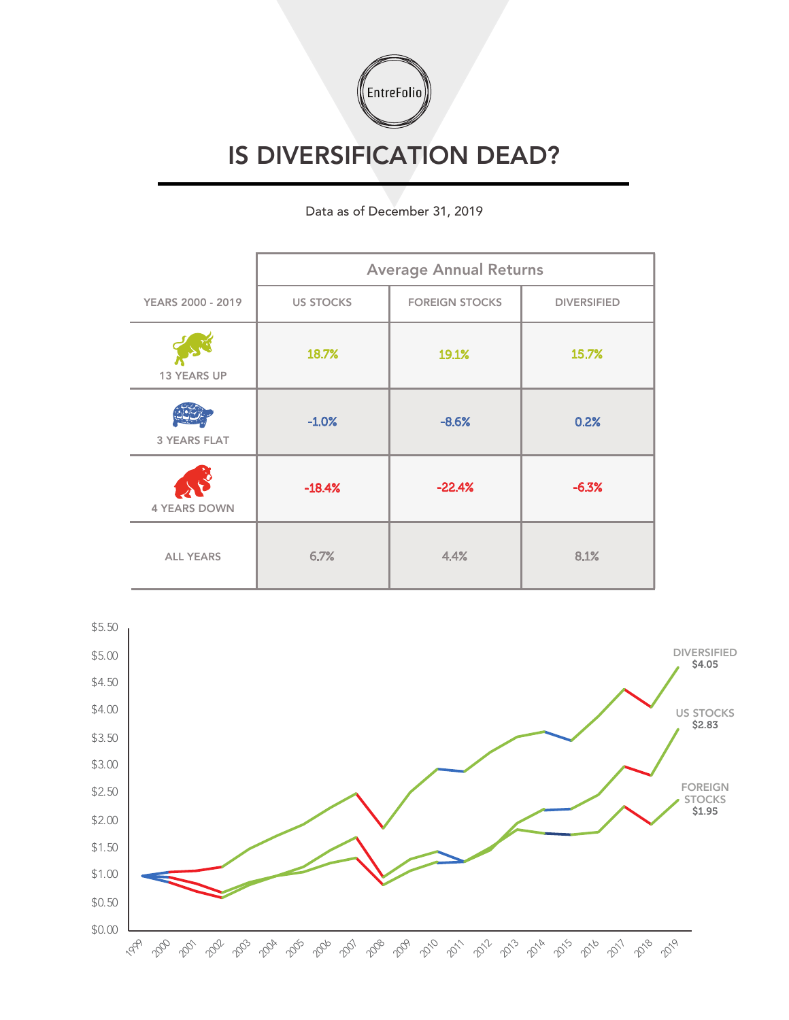

## IS DIVERSIFICATION DEAD?

## Data as of December 31, 2019

|                          | <b>Average Annual Returns</b> |                       |                    |
|--------------------------|-------------------------------|-----------------------|--------------------|
| <b>YEARS 2000 - 2019</b> | <b>US STOCKS</b>              | <b>FOREIGN STOCKS</b> | <b>DIVERSIFIED</b> |
| <b>13 YEARS UP</b>       | 18.7%                         | 19.1%                 | 15.7%              |
| <b>3 YEARS FLAT</b>      | $-1.0%$                       | $-8.6%$               | 0.2%               |
| <b>4 YEARS DOWN</b>      | $-18.4%$                      | $-22.4%$              | $-6.3%$            |
| <b>ALL YEARS</b>         | 6.7%                          | 4.4%                  | 8.1%               |